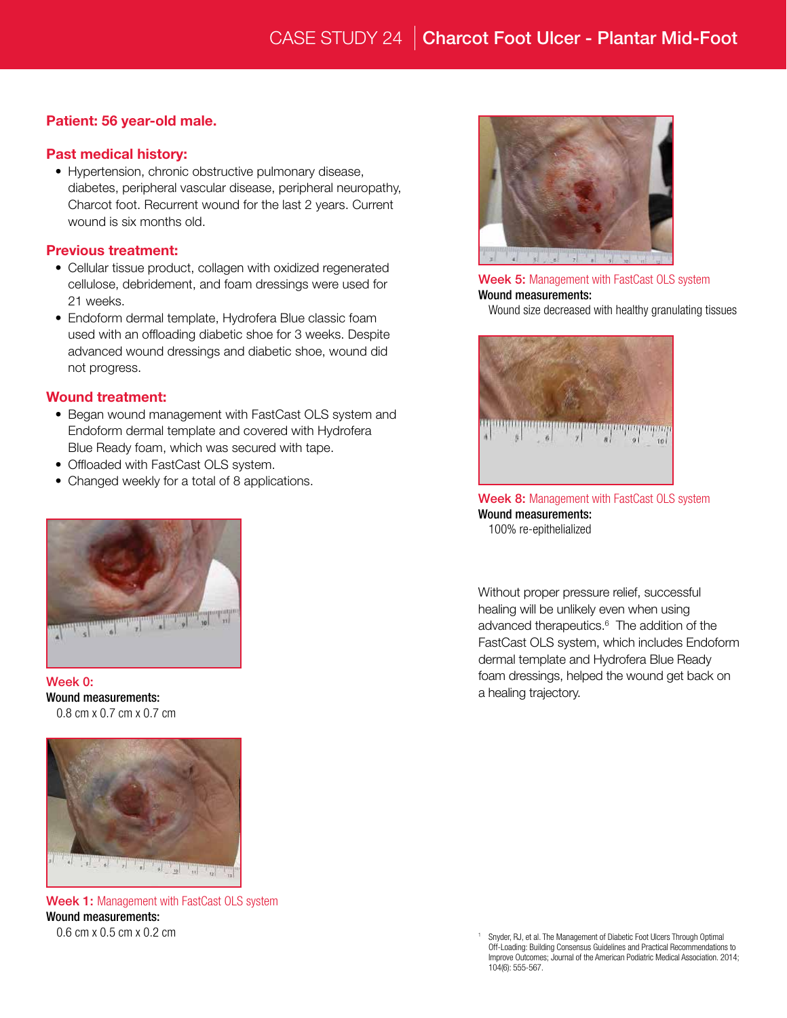# Patient: 56 year-old male.

# Past medical history:

• Hypertension, chronic obstructive pulmonary disease, diabetes, peripheral vascular disease, peripheral neuropathy, Charcot foot. Recurrent wound for the last 2 years. Current wound is six months old.

# Previous treatment:

- Cellular tissue product, collagen with oxidized regenerated cellulose, debridement, and foam dressings were used for 21 weeks.
- Endoform dermal template, Hydrofera Blue classic foam used with an offloading diabetic shoe for 3 weeks. Despite advanced wound dressings and diabetic shoe, wound did not progress.

# Wound treatment:

- Began wound management with FastCast OLS system and Endoform dermal template and covered with Hydrofera Blue Ready foam, which was secured with tape.
- Offloaded with FastCast OLS system.
- Changed weekly for a total of 8 applications.



Week 5: Management with FastCast OLS system Wound measurements:

Wound size decreased with healthy granulating tissues



#### Week 8: Management with FastCast OLS system Wound measurements: 100% re-epithelialized



Week 0: Wound measurements: 0.8 cm x 0.7 cm x 0.7 cm



Week 1: Management with FastCast OLS system Wound measurements: 0.6 cm x 0.5 cm x 0.2 cm

Without proper pressure relief, successful healing will be unlikely even when using advanced therapeutics.<sup>6</sup> The addition of the FastCast OLS system, which includes Endoform dermal template and Hydrofera Blue Ready foam dressings, helped the wound get back on a healing trajectory.

<sup>1</sup> Snyder, RJ, et al. The Management of Diabetic Foot Ulcers Through Optimal Off-Loading: Building Consensus Guidelines and Practical Recommendations to Improve Outcomes; Journal of the American Podiatric Medical Association. 2014; 104(6): 555-567.